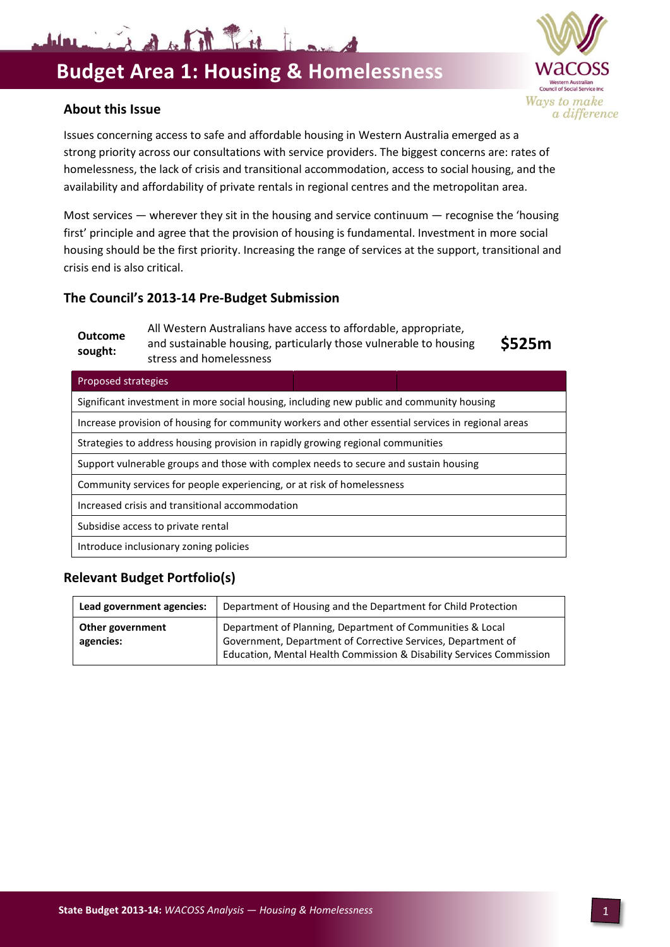# **Budget Area 1: Housing & Homelessness**

#### **About this Issue**

Issues concerning access to safe and affordable housing in Western Australia emerged as a strong priority across our consultations with service providers. The biggest concerns are: rates of homelessness, the lack of crisis and transitional accommodation, access to social housing, and the availability and affordability of private rentals in regional centres and the metropolitan area.

Most services — wherever they sit in the housing and service continuum — recognise the 'housing first' principle and agree that the provision of housing is fundamental. Investment in more social housing should be the first priority. Increasing the range of services at the support, transitional and crisis end is also critical.

#### **The Council's 2013-14 Pre-Budget Submission**

Warington River

#### **Outcome sought:** All Western Australians have access to affordable, appropriate, and sustainable housing, particularly those vulnerable to housing stress and homelessness

**\$525m**

#### Proposed strategies

Significant investment in more social housing, including new public and community housing Increase provision of housing for community workers and other essential services in regional areas Strategies to address housing provision in rapidly growing regional communities Support vulnerable groups and those with complex needs to secure and sustain housing Community services for people experiencing, or at risk of homelessness Increased crisis and transitional accommodation Subsidise access to private rental

Introduce inclusionary zoning policies

## **Relevant Budget Portfolio(s)**

| Lead government agencies:     | Department of Housing and the Department for Child Protection                                                                                                                                     |
|-------------------------------|---------------------------------------------------------------------------------------------------------------------------------------------------------------------------------------------------|
| Other government<br>agencies: | Department of Planning, Department of Communities & Local<br>Government, Department of Corrective Services, Department of<br>Education, Mental Health Commission & Disability Services Commission |

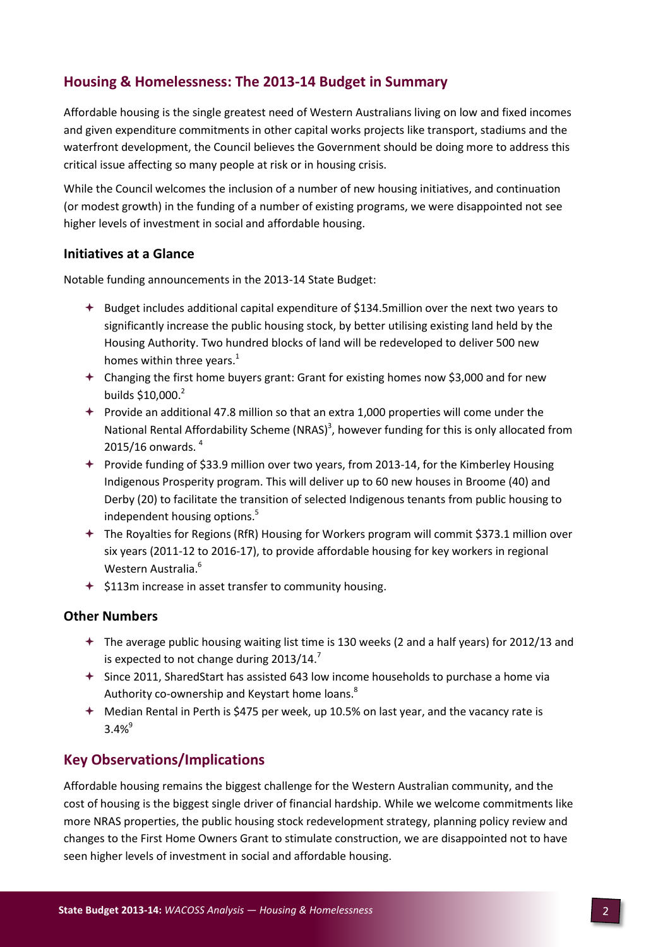# **Housing & Homelessness: The 2013-14 Budget in Summary**

Affordable housing is the single greatest need of Western Australians living on low and fixed incomes and given expenditure commitments in other capital works projects like transport, stadiums and the waterfront development, the Council believes the Government should be doing more to address this critical issue affecting so many people at risk or in housing crisis.

While the Council welcomes the inclusion of a number of new housing initiatives, and continuation (or modest growth) in the funding of a number of existing programs, we were disappointed not see higher levels of investment in social and affordable housing.

#### **Initiatives at a Glance**

Notable funding announcements in the 2013-14 State Budget:

- $\triangleq$  Budget includes additional capital expenditure of \$134.5million over the next two years to significantly increase the public housing stock, by better utilising existing land held by the Housing Authority. Two hundred blocks of land will be redeveloped to deliver 500 new homes within three years. $<sup>1</sup>$ </sup>
- Changing the first home buyers grant: Grant for existing homes now \$3,000 and for new builds \$10,000. 2
- $\rightarrow$  Provide an additional 47.8 million so that an extra 1,000 properties will come under the National Rental Affordability Scheme (NRAS)<sup>3</sup>, however funding for this is only allocated from 2015/16 onwards. <sup>4</sup>
- Provide funding of \$33.9 million over two years, from 2013-14, for the Kimberley Housing Indigenous Prosperity program. This will deliver up to 60 new houses in Broome (40) and Derby (20) to facilitate the transition of selected Indigenous tenants from public housing to independent housing options. 5
- The Royalties for Regions (RfR) Housing for Workers program will commit \$373.1 million over six years (2011-12 to 2016-17), to provide affordable housing for key workers in regional Western Australia. 6
- $\div$  \$113m increase in asset transfer to community housing.

#### **Other Numbers**

- The average public housing waiting list time is 130 weeks (2 and a half years) for 2012/13 and is expected to not change during  $2013/14$ .<sup>7</sup>
- Since 2011, SharedStart has assisted 643 low income households to purchase a home via Authority co-ownership and Keystart home loans.<sup>8</sup>
- Median Rental in Perth is \$475 per week, up 10.5% on last year, and the vacancy rate is  $3.4%^{9}$

### **Key Observations/Implications**

Affordable housing remains the biggest challenge for the Western Australian community, and the cost of housing is the biggest single driver of financial hardship. While we welcome commitments like more NRAS properties, the public housing stock redevelopment strategy, planning policy review and changes to the First Home Owners Grant to stimulate construction, we are disappointed not to have seen higher levels of investment in social and affordable housing.